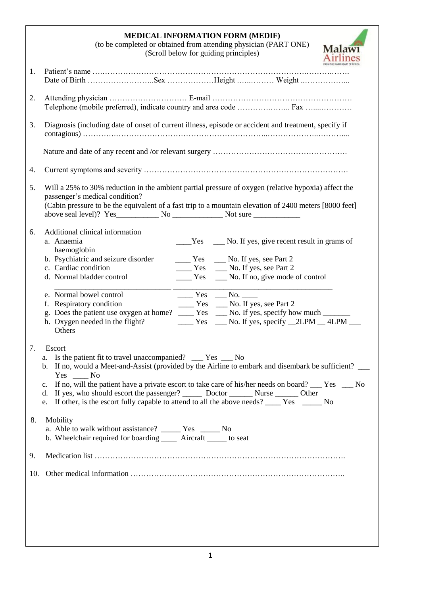|     | <b>MEDICAL INFORMATION FORM (MEDIF)</b><br>(to be completed or obtained from attending physician (PART ONE)<br><b>Malaw</b><br>(Scroll below for guiding principles)                                                                                                                                                                                                                                                                                                                                                     |
|-----|--------------------------------------------------------------------------------------------------------------------------------------------------------------------------------------------------------------------------------------------------------------------------------------------------------------------------------------------------------------------------------------------------------------------------------------------------------------------------------------------------------------------------|
| 1.  |                                                                                                                                                                                                                                                                                                                                                                                                                                                                                                                          |
| 2.  |                                                                                                                                                                                                                                                                                                                                                                                                                                                                                                                          |
| 3.  | Diagnosis (including date of onset of current illness, episode or accident and treatment, specify if                                                                                                                                                                                                                                                                                                                                                                                                                     |
|     |                                                                                                                                                                                                                                                                                                                                                                                                                                                                                                                          |
| 4.  |                                                                                                                                                                                                                                                                                                                                                                                                                                                                                                                          |
| 5.  | Will a 25% to 30% reduction in the ambient partial pressure of oxygen (relative hypoxia) affect the<br>passenger's medical condition?<br>(Cabin pressure to be the equivalent of a fast trip to a mountain elevation of 2400 meters [8000 feet]                                                                                                                                                                                                                                                                          |
| 6.  | Additional clinical information<br>a. Anaemia<br>$Yes$ $\qquad$ No. If yes, give recent result in grams of<br>haemoglobin<br>b. Psychiatric and seizure disorder<br>$\frac{1}{2}$ Yes $\frac{1}{2}$ No. If yes, see Part 2<br>c. Cardiac condition<br>_______ Yes ______ No. If yes, see Part 2<br>d. Normal bladder control<br>_____ Yes _____ No. If no, give mode of control                                                                                                                                          |
|     | e. Normal bowel control<br>$\frac{1}{\sqrt{1-\frac{1}{2}}}$ Yes $\frac{1}{\sqrt{1-\frac{1}{2}}}$ No.<br>_____ Yes ____ No. If yes, see Part 2<br>f. Respiratory condition<br>g. Does the patient use oxygen at home? ____ Yes ___ No. If yes, specify how much ______<br>h. Oxygen needed in the flight?<br>$\frac{1}{2}$ Yes $\frac{1}{2}$ No. If yes, specify $\frac{2LPM}{2LPM}$ $\frac{4LPM}{2}$<br>Others                                                                                                           |
| 7.  | Escort<br>Is the patient fit to travel unaccompanied? __ Yes __ No<br>a.<br>b. If no, would a Meet-and-Assist (provided by the Airline to embark and disembark be sufficient?<br>$Yes \t_{\text{max}} No$<br>If no, will the patient have a private escort to take care of his/her needs on board? Fes Ro<br>c.<br>If yes, who should escort the passenger? ________ Doctor __________ Nurse ________ Other<br>d.<br>If other, is the escort fully capable to attend to all the above needs? ______ Yes _______ No<br>e. |
| 8.  | Mobility<br>a. Able to walk without assistance? ________ Yes _________ No<br>b. Wheelchair required for boarding _______ Aircraft _______ to seat                                                                                                                                                                                                                                                                                                                                                                        |
| 9.  |                                                                                                                                                                                                                                                                                                                                                                                                                                                                                                                          |
| 10. |                                                                                                                                                                                                                                                                                                                                                                                                                                                                                                                          |
|     |                                                                                                                                                                                                                                                                                                                                                                                                                                                                                                                          |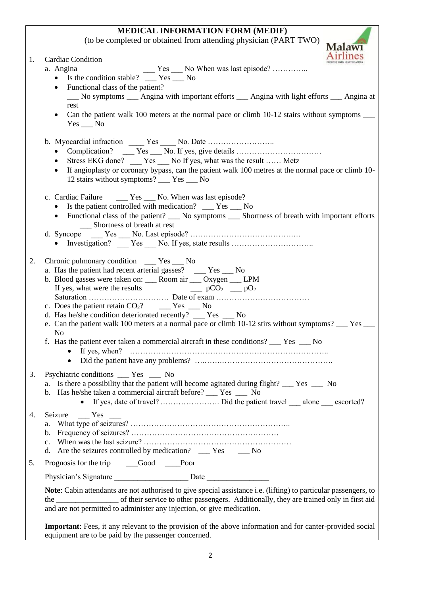## **MEDICAL INFORMATION FORM (MEDIF)**

(to be completed or obtained from attending physician (PART TWO)<br>Malawi

| 1. | <b>Cardiac Condition</b>                                                                                                                                                                      |
|----|-----------------------------------------------------------------------------------------------------------------------------------------------------------------------------------------------|
|    | Yes No When was last episode?<br>a. Angina                                                                                                                                                    |
|    | Is the condition stable? __ Yes __ No<br>$\bullet$                                                                                                                                            |
|    | Functional class of the patient?<br>$\bullet$<br>__ No symptoms __ Angina with important efforts __ Angina with light efforts __ Angina at                                                    |
|    | rest                                                                                                                                                                                          |
|    | Can the patient walk 100 meters at the normal pace or climb 10-12 stairs without symptoms ____<br>$\bullet$<br>$Yes$ No                                                                       |
|    | b. Myocardial infraction ______ Yes _____ No. Date                                                                                                                                            |
|    | $\bullet$                                                                                                                                                                                     |
|    | Stress EKG done? _____ Yes _____ No If yes, what was the result  Metz<br>٠<br>If angioplasty or coronary bypass, can the patient walk 100 metres at the normal pace or climb 10-<br>$\bullet$ |
|    | 12 stairs without symptoms? __ Yes __ No                                                                                                                                                      |
|    |                                                                                                                                                                                               |
|    |                                                                                                                                                                                               |
|    | Is the patient controlled with medication? __ Yes __ No<br>• Functional class of the patient? __ No symptoms __ Shortness of breath with important efforts                                    |
|    | Shortness of breath at rest                                                                                                                                                                   |
|    |                                                                                                                                                                                               |
|    |                                                                                                                                                                                               |
| 2. | Chronic pulmonary condition _____ Yes ____ No                                                                                                                                                 |
|    | a. Has the patient had recent arterial gasses? ____ Yes ___ No                                                                                                                                |
|    | b. Blood gasses were taken on: ___ Room air ___ Oxygen ___ LPM                                                                                                                                |
|    | If yes, what were the results $\Box$ $pCO_2 \Box$ $pO_2$                                                                                                                                      |
|    | c. Does the patient retain $CO2$ ? _______ Yes _____ No                                                                                                                                       |
|    | d. Has he/she condition deteriorated recently? __ Yes __ No                                                                                                                                   |
|    | e. Can the patient walk 100 meters at a normal pace or climb 10-12 stirs without symptoms? __ Yes __<br>N <sub>o</sub>                                                                        |
|    | f. Has the patient ever taken a commercial aircraft in these conditions? ___ Yes ___ No                                                                                                       |
|    |                                                                                                                                                                                               |
|    |                                                                                                                                                                                               |
| 3. | Psychiatric conditions _____ Yes _____ No                                                                                                                                                     |
|    | a. Is there a possibility that the patient will become agitated during flight? ___ Yes ___ No<br>b. Has he/she taken a commercial aircraft before? ___ Yes ___ No                             |
|    |                                                                                                                                                                                               |
| 4. | Seizure ___ Yes ___                                                                                                                                                                           |
|    | a.                                                                                                                                                                                            |
|    |                                                                                                                                                                                               |
|    | d. Are the seizures controlled by medication? ___ Yes ___ No                                                                                                                                  |
| 5. | Prognosis for the trip _________Good ________Poor                                                                                                                                             |
|    |                                                                                                                                                                                               |
|    | Note: Cabin attendants are not authorised to give special assistance i.e. (lifting) to particular passengers, to                                                                              |
|    |                                                                                                                                                                                               |
|    | and are not permitted to administer any injection, or give medication.                                                                                                                        |
|    | <b>Important:</b> Fees, it any relevant to the provision of the above information and for canter-provided social                                                                              |
|    | equipment are to be paid by the passenger concerned.                                                                                                                                          |